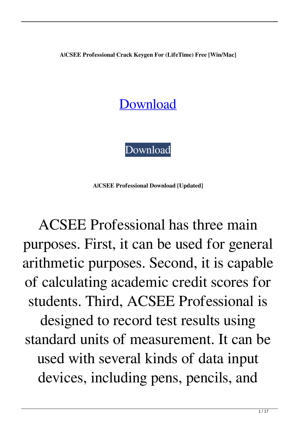**A|CSEE Professional Crack Keygen For (LifeTime) Free [Win/Mac]**

## [Download](http://evacdir.com/campouts/leathery.monteith?boasters.raider.ZG93bmxvYWR8ZksxT0ROdE9YeDhNVFkxTkRRek5qWTFPSHg4TWpVNU1IeDhLRTBwSUZkdmNtUndjbVZ6Y3lCYldFMU1VbEJESUZZeUlGQkVSbDA=vanishingly&wiggington=QXxDU0VFIFByb2Zlc3Npb25hbAQXx)

[Download](http://evacdir.com/campouts/leathery.monteith?boasters.raider.ZG93bmxvYWR8ZksxT0ROdE9YeDhNVFkxTkRRek5qWTFPSHg4TWpVNU1IeDhLRTBwSUZkdmNtUndjbVZ6Y3lCYldFMU1VbEJESUZZeUlGQkVSbDA=vanishingly&wiggington=QXxDU0VFIFByb2Zlc3Npb25hbAQXx)

**A|CSEE Professional Download [Updated]**

ACSEE Professional has three main purposes. First, it can be used for general arithmetic purposes. Second, it is capable of calculating academic credit scores for students. Third, ACSEE Professional is designed to record test results using standard units of measurement. It can be used with several kinds of data input devices, including pens, pencils, and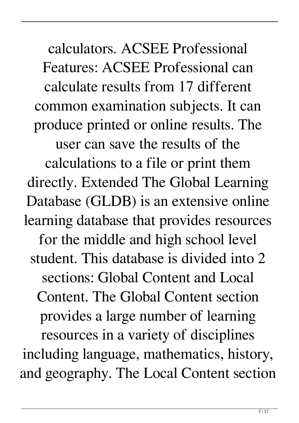calculators. ACSEE Professional Features: ACSEE Professional can calculate results from 17 different common examination subjects. It can produce printed or online results. The

user can save the results of the calculations to a file or print them directly. Extended The Global Learning Database (GLDB) is an extensive online learning database that provides resources for the middle and high school level student. This database is divided into 2 sections: Global Content and Local Content. The Global Content section provides a large number of learning resources in a variety of disciplines including language, mathematics, history, and geography. The Local Content section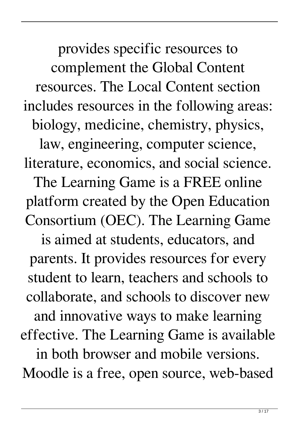provides specific resources to complement the Global Content resources. The Local Content section includes resources in the following areas: biology, medicine, chemistry, physics, law, engineering, computer science, literature, economics, and social science.

The Learning Game is a FREE online platform created by the Open Education Consortium (OEC). The Learning Game

is aimed at students, educators, and parents. It provides resources for every student to learn, teachers and schools to collaborate, and schools to discover new and innovative ways to make learning effective. The Learning Game is available in both browser and mobile versions. Moodle is a free, open source, web-based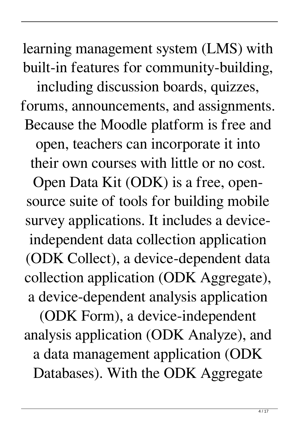learning management system (LMS) with built-in features for community-building,

including discussion boards, quizzes, forums, announcements, and assignments. Because the Moodle platform is free and

open, teachers can incorporate it into their own courses with little or no cost.

Open Data Kit (ODK) is a free, opensource suite of tools for building mobile survey applications. It includes a deviceindependent data collection application (ODK Collect), a device-dependent data collection application (ODK Aggregate), a device-dependent analysis application (ODK Form), a device-independent analysis application (ODK Analyze), and a data management application (ODK Databases). With the ODK Aggregate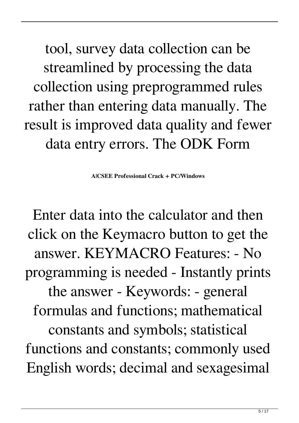tool, survey data collection can be streamlined by processing the data collection using preprogrammed rules rather than entering data manually. The result is improved data quality and fewer data entry errors. The ODK Form

**A|CSEE Professional Crack + PC/Windows**

Enter data into the calculator and then click on the Keymacro button to get the answer. KEYMACRO Features: - No programming is needed - Instantly prints the answer - Keywords: - general formulas and functions; mathematical constants and symbols; statistical functions and constants; commonly used English words; decimal and sexagesimal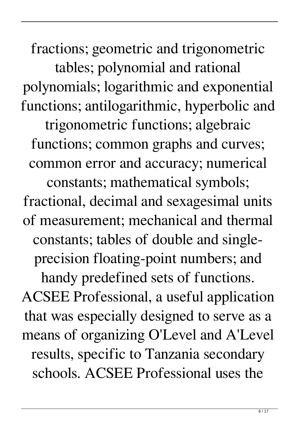fractions; geometric and trigonometric tables; polynomial and rational polynomials; logarithmic and exponential functions; antilogarithmic, hyperbolic and trigonometric functions; algebraic functions; common graphs and curves; common error and accuracy; numerical constants; mathematical symbols; fractional, decimal and sexagesimal units of measurement; mechanical and thermal constants; tables of double and singleprecision floating-point numbers; and handy predefined sets of functions. ACSEE Professional, a useful application that was especially designed to serve as a means of organizing O'Level and A'Level results, specific to Tanzania secondary schools. ACSEE Professional uses the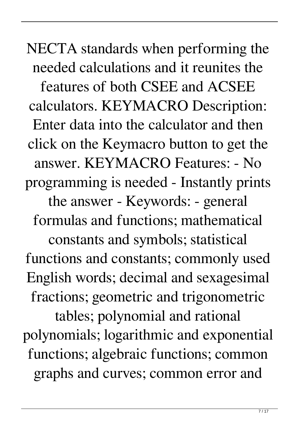NECTA standards when performing the needed calculations and it reunites the features of both CSEE and ACSEE calculators. KEYMACRO Description: Enter data into the calculator and then click on the Keymacro button to get the answer. KEYMACRO Features: - No programming is needed - Instantly prints the answer - Keywords: - general formulas and functions; mathematical constants and symbols; statistical functions and constants; commonly used English words; decimal and sexagesimal fractions; geometric and trigonometric tables; polynomial and rational polynomials; logarithmic and exponential functions; algebraic functions; common graphs and curves; common error and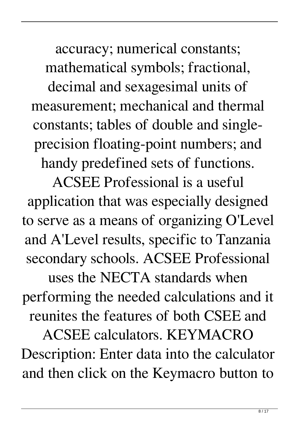accuracy; numerical constants; mathematical symbols; fractional,

decimal and sexagesimal units of measurement; mechanical and thermal constants; tables of double and singleprecision floating-point numbers; and handy predefined sets of functions.

ACSEE Professional is a useful application that was especially designed to serve as a means of organizing O'Level and A'Level results, specific to Tanzania secondary schools. ACSEE Professional uses the NECTA standards when performing the needed calculations and it reunites the features of both CSEE and ACSEE calculators. KEYMACRO Description: Enter data into the calculator and then click on the Keymacro button to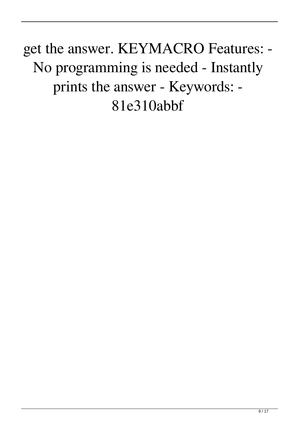get the answer. KEYMACRO Features: - No programming is needed - Instantly prints the answer - Keywords: - 81e310abbf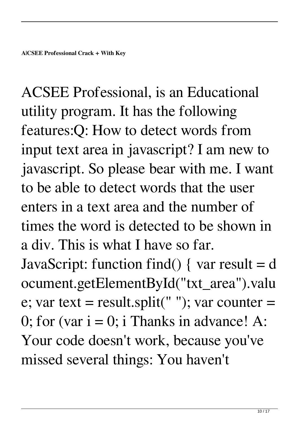ACSEE Professional, is an Educational utility program. It has the following features:Q: How to detect words from input text area in javascript? I am new to javascript. So please bear with me. I want to be able to detect words that the user enters in a text area and the number of times the word is detected to be shown in a div. This is what I have so far. JavaScript: function find() { var result =  $d$ ocument.getElementById("txt\_area").valu e; var text = result.split(" "); var counter = 0; for (var  $i = 0$ ; i Thanks in advance! A: Your code doesn't work, because you've missed several things: You haven't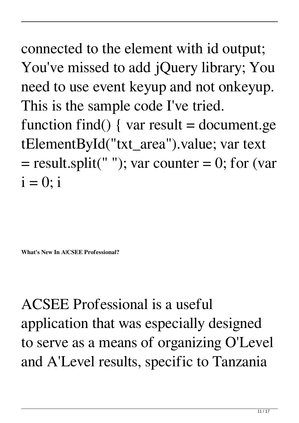connected to the element with id output; You've missed to add jQuery library; You need to use event keyup and not onkeyup. This is the sample code I've tried. function find() { var result = document.ge tElementById("txt\_area").value; var text  $=$  result.split(""); var counter  $= 0$ ; for (var  $i = 0$ ; i

**What's New In A|CSEE Professional?**

ACSEE Professional is a useful application that was especially designed to serve as a means of organizing O'Level and A'Level results, specific to Tanzania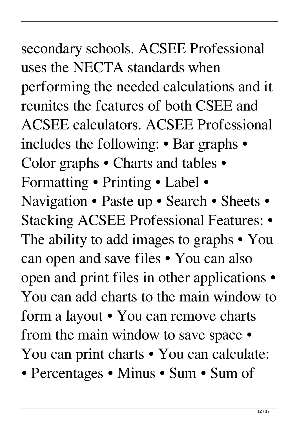## secondary schools. ACSEE Professional

uses the NECTA standards when performing the needed calculations and it reunites the features of both CSEE and ACSEE calculators. ACSEE Professional includes the following: • Bar graphs • Color graphs • Charts and tables • Formatting • Printing • Label • Navigation • Paste up • Search • Sheets • Stacking ACSEE Professional Features: • The ability to add images to graphs • You can open and save files • You can also open and print files in other applications • You can add charts to the main window to form a layout • You can remove charts from the main window to save space • You can print charts • You can calculate:

• Percentages • Minus • Sum • Sum of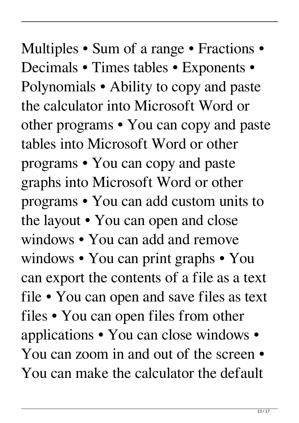Multiples • Sum of a range • Fractions • Decimals • Times tables • Exponents • Polynomials • Ability to copy and paste the calculator into Microsoft Word or other programs • You can copy and paste tables into Microsoft Word or other programs • You can copy and paste graphs into Microsoft Word or other programs • You can add custom units to the layout • You can open and close windows • You can add and remove windows • You can print graphs • You can export the contents of a file as a text file • You can open and save files as text files • You can open files from other applications • You can close windows • You can zoom in and out of the screen  $\bullet$ You can make the calculator the default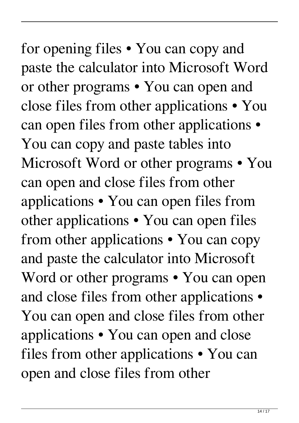for opening files • You can copy and paste the calculator into Microsoft Word or other programs • You can open and close files from other applications • You can open files from other applications • You can copy and paste tables into Microsoft Word or other programs • You can open and close files from other applications • You can open files from other applications • You can open files from other applications • You can copy and paste the calculator into Microsoft Word or other programs • You can open and close files from other applications • You can open and close files from other applications • You can open and close files from other applications • You can open and close files from other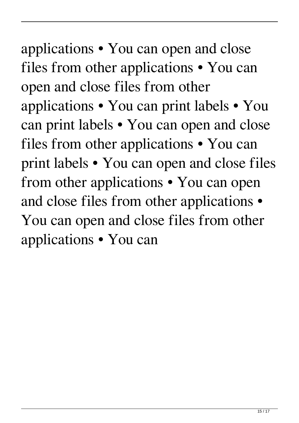applications • You can open and close files from other applications • You can open and close files from other applications • You can print labels • You can print labels • You can open and close files from other applications • You can print labels • You can open and close files from other applications • You can open and close files from other applications • You can open and close files from other applications • You can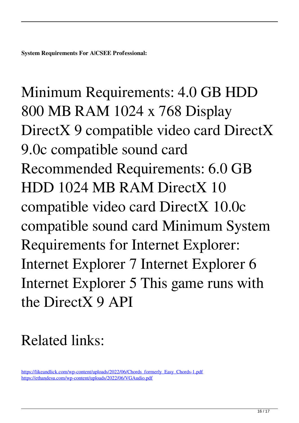Minimum Requirements: 4.0 GB HDD 800 MB RAM 1024 x 768 Display DirectX 9 compatible video card DirectX 9.0c compatible sound card Recommended Requirements: 6.0 GB HDD 1024 MB RAM DirectX 10 compatible video card DirectX 10.0c compatible sound card Minimum System Requirements for Internet Explorer: Internet Explorer 7 Internet Explorer 6 Internet Explorer 5 This game runs with the DirectX 9 API

## Related links:

[https://likeandlick.com/wp-content/uploads/2022/06/Chords\\_formerly\\_Easy\\_Chords-1.pdf](https://likeandlick.com/wp-content/uploads/2022/06/Chords_formerly_Easy_Chords-1.pdf) <https://ethandesu.com/wp-content/uploads/2022/06/VGAudio.pdf>